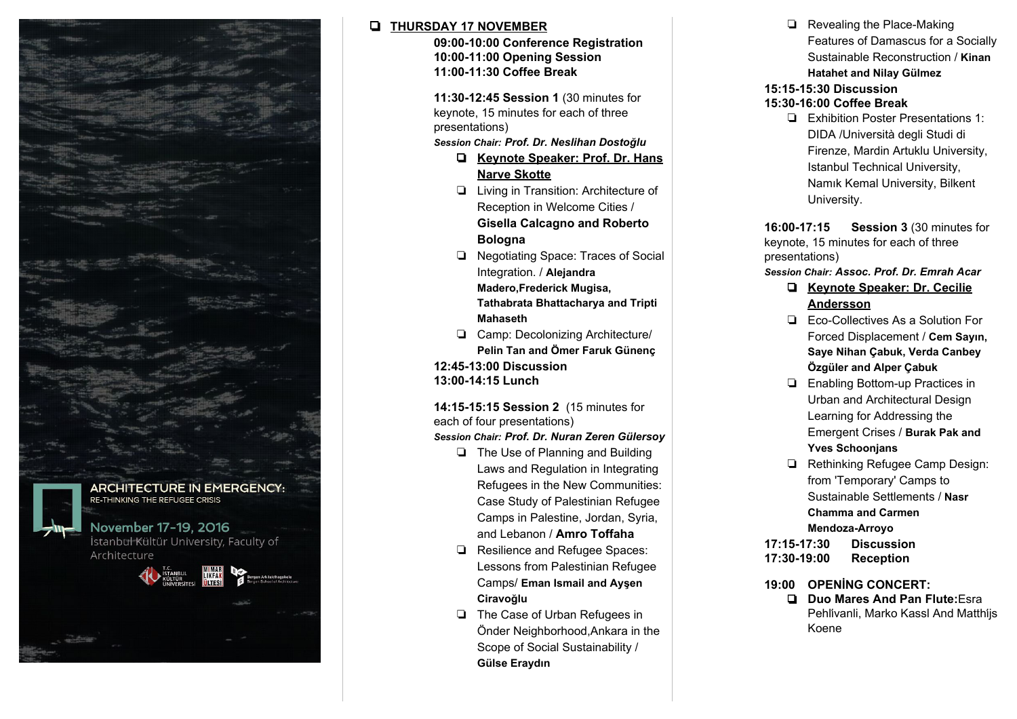

## ❏ **THURSDAY 17 NOVEMBER**

❏ **09:00-10:00 Conference Registration** ❏ **10:00-11:00 Opening Session** ❏ **11:00-11:30 Coffee Break**

❏ **11:30-12:45 Session 1** (30 minutes for keynote, 15 minutes for each of three presentations)

*Session Chair: Prof. Dr. Neslihan Dostoğlu*

- ❏ **Keynote Speaker: Prof. Dr. Hans Narve Skotte**
- ❏ Living in Transition: Architecture of Reception in Welcome Cities /

**Gisella Calcagno and Roberto Bologna**

- ❏ Negotiating Space: Traces of Social Integration. / **Alejandra Madero,Frederick Mugisa, Tathabrata Bhattacharya and Tripti Mahaseth**
- ❏ Camp: Decolonizing Architecture/ **Pelin Tan and Ömer Faruk Günenç**

❏ **12:45-13:00 Discussion** ❏ **13:00-14:15 Lunch**

❏ **14:15-15:15 Session 2** (15 minutes for each of four presentations) *Session Chair: Prof. Dr. Nuran Zeren Gülersoy*

- ❏ The Use of Planning and Building Laws and Regulation in Integrating Refugees in the New Communities: Case Study of Palestinian Refugee Camps in Palestine, Jordan, Syria, and Lebanon / **Amro Toffaha**
- ❏ Resilience and Refugee Spaces: Lessons from Palestinian Refugee Camps/ **Eman Ismail and Ayşen Ciravoğlu**
- ❏ The Case of Urban Refugees in Önder Neighborhood,Ankara in the Scope of Social Sustainability / **Gülse Eraydın**

❏ Revealing the Place-Making Features of Damascus for a Socially Sustainable Reconstruction / **Kinan Hatahet and Nilay Gülmez**

#### ❏ **15:15-15:30 Discussion**

#### ❏ **15:30-16:00 Coffee Break**

❏ Exhibition Poster Presentations 1: DIDA /Università degli Studi di Firenze, Mardin Artuklu University, Istanbul Technical University, Namık Kemal University, Bilkent University.

❏ **16:00-17:15 Session 3** (30 minutes for keynote, 15 minutes for each of three presentations)

## *S ession Chair: Assoc. Prof. Dr. Emrah Acar*

- ❏ **Keynote Speaker: Dr. Cecilie Andersson**
- ❏ Eco-Collectives As a Solution For Forced Displacement / **Cem Sayın, Saye Nihan Çabuk, Verda Canbey Özgüler and Alper Çabuk**
- ❏ Enabling Bottom-up Practices in Urban and Architectural Design Learning for Addressing the Emergent Crises / **Burak Pak and Yves Schoonjans**
- ❏ Rethinking Refugee Camp Design: from 'Temporary' Camps to Sustainable Settlements / **Nasr Chamma and Carmen Mendoza-Arroyo**

❏ **17:15-17:30 Discussion** ❏ **17:30-19:00 Reception**

- ❏ **19:00 OPENİNG CONCERT:**
	- ❏ **Duo Mares And Pan Flute:**Esra Pehli̇vanli, Marko Kassl And Matthi̇js Koene